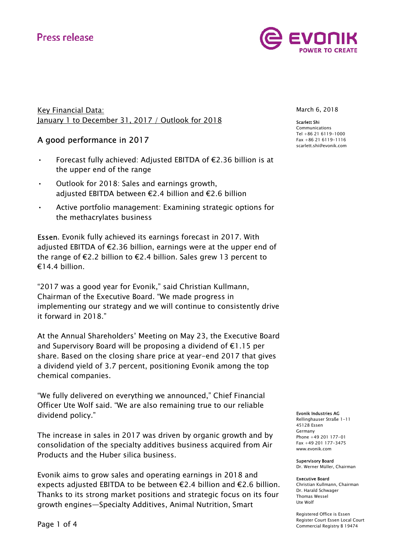# **Press release**



Key Financial Data: January 1 to December 31, 2017 / Outlook for 2018

## A good performance in 2017

- Forecast fully achieved: Adjusted EBITDA of €2.36 billion is at the upper end of the range
- Outlook for 2018: Sales and earnings growth, adjusted EBITDA between €2.4 billion and €2.6 billion
- Active portfolio management: Examining strategic options for the methacrylates business

Essen. Evonik fully achieved its earnings forecast in 2017. With adjusted EBITDA of €2.36 billion, earnings were at the upper end of the range of €2.2 billion to €2.4 billion. Sales grew 13 percent to €14.4 billion.

"2017 was a good year for Evonik," said Christian Kullmann, Chairman of the Executive Board. "We made progress in implementing our strategy and we will continue to consistently drive it forward in 2018."

At the Annual Shareholders' Meeting on May 23, the Executive Board and Supervisory Board will be proposing a dividend of €1.15 per share. Based on the closing share price at year-end 2017 that gives a dividend yield of 3.7 percent, positioning Evonik among the top chemical companies.

"We fully delivered on everything we announced," Chief Financial Officer Ute Wolf said. "We are also remaining true to our reliable dividend policy."

The increase in sales in 2017 was driven by organic growth and by consolidation of the specialty additives business acquired from Air Products and the Huber silica business.

Evonik aims to grow sales and operating earnings in 2018 and expects adjusted EBITDA to be between €2.4 billion and €2.6 billion. Thanks to its strong market positions and strategic focus on its four growth engines—Specialty Additives, Animal Nutrition, Smart

March 6, 2018

Scarlett Shi Communications Tel +86 21 6119-1000 Fax +86 21 6119-1116 scarlett.shi@evonik.com

#### Evonik Industries AG

Rellinghauser Straße 1-11 45128 Essen Germany Phone +49 201 177-01 Fax +49 201 177-3475 www.evonik.com

#### Supervisory Board

Dr. Werner Müller, Chairman

#### Executive Board

Christian Kullmann, Chairman Dr. Harald Schwager Thomas Wessel Ute Wolf

Registered Office is Essen Register Court Essen Local Court Commercial Registry B 19474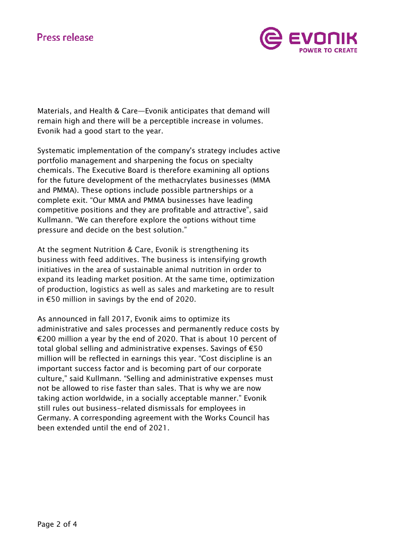# **Press release**



Materials, and Health & Care—Evonik anticipates that demand will remain high and there will be a perceptible increase in volumes. Evonik had a good start to the year.

Systematic implementation of the company's strategy includes active portfolio management and sharpening the focus on specialty chemicals. The Executive Board is therefore examining all options for the future development of the methacrylates businesses (MMA and PMMA). These options include possible partnerships or a complete exit. "Our MMA and PMMA businesses have leading competitive positions and they are profitable and attractive", said Kullmann. "We can therefore explore the options without time pressure and decide on the best solution."

At the segment Nutrition & Care, Evonik is strengthening its business with feed additives. The business is intensifying growth initiatives in the area of sustainable animal nutrition in order to expand its leading market position. At the same time, optimization of production, logistics as well as sales and marketing are to result in €50 million in savings by the end of 2020.

As announced in fall 2017, Evonik aims to optimize its administrative and sales processes and permanently reduce costs by €200 million a year by the end of 2020. That is about 10 percent of total global selling and administrative expenses. Savings of €50 million will be reflected in earnings this year. "Cost discipline is an important success factor and is becoming part of our corporate culture," said Kullmann. "Selling and administrative expenses must not be allowed to rise faster than sales. That is why we are now taking action worldwide, in a socially acceptable manner." Evonik still rules out business-related dismissals for employees in Germany. A corresponding agreement with the Works Council has been extended until the end of 2021.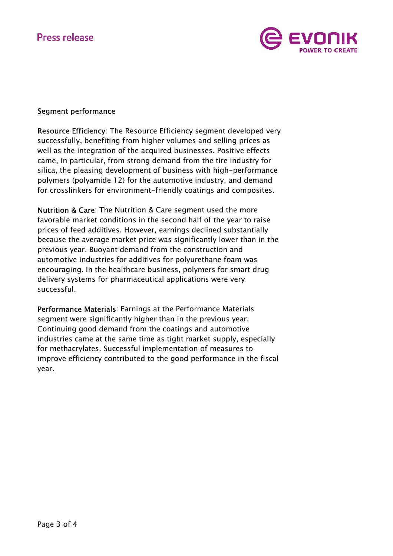

## Segment performance

Resource Efficiency: The Resource Efficiency segment developed very successfully, benefiting from higher volumes and selling prices as well as the integration of the acquired businesses. Positive effects came, in particular, from strong demand from the tire industry for silica, the pleasing development of business with high-performance polymers (polyamide 12) for the automotive industry, and demand for crosslinkers for environment-friendly coatings and composites.

Nutrition & Care: The Nutrition & Care segment used the more favorable market conditions in the second half of the year to raise prices of feed additives. However, earnings declined substantially because the average market price was significantly lower than in the previous year. Buoyant demand from the construction and automotive industries for additives for polyurethane foam was encouraging. In the healthcare business, polymers for smart drug delivery systems for pharmaceutical applications were very successful.

Performance Materials: Earnings at the Performance Materials segment were significantly higher than in the previous year. Continuing good demand from the coatings and automotive industries came at the same time as tight market supply, especially for methacrylates. Successful implementation of measures to improve efficiency contributed to the good performance in the fiscal year.